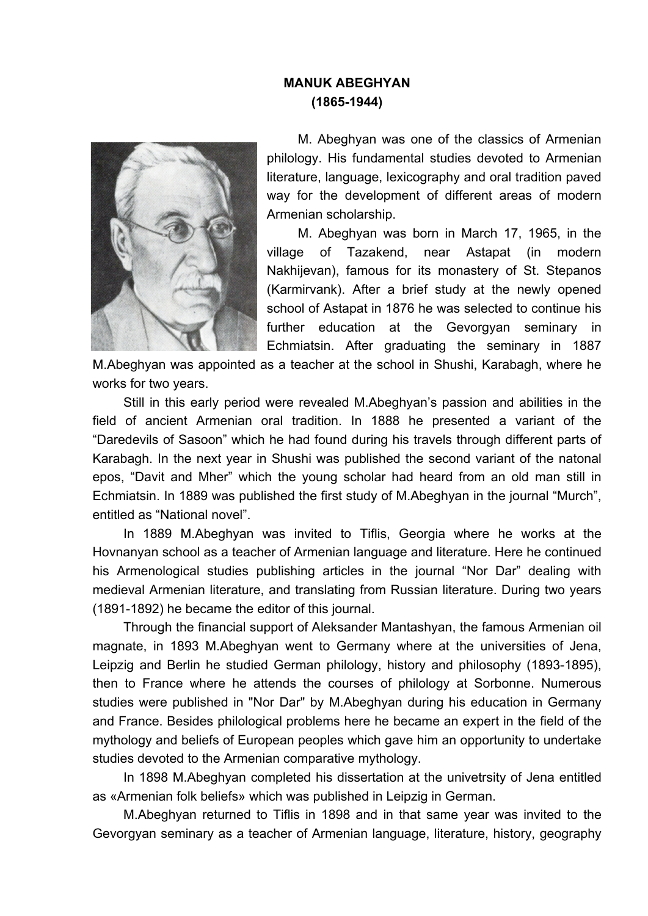## **MANUK ABEGHYAN (1865-1944)**



M. Abeghyan was one of the classics of Armenian philology. His fundamental studies devoted to Armenian literature, language, lexicography and oral tradition paved way for the development of different areas of modern Armenian scholarship.

M. Abeghyan was born in March 17, 1965, in the village of Tazakend, near Astapat (in modern Nakhijevan), famous for its monastery of St. Stepanos (Karmirvank). After a brief study at the newly opened school of Astapat in 1876 he was selected to continue his further education at the Gevorgyan seminary in Echmiatsin. After graduating the seminary in 1887

M.Abeghyan was appointed as a teacher at the school in Shushi, Karabagh, where he works for two years.

Still in this early period were revealed M.Abeghyan's passion and abilities in the field of ancient Armenian oral tradition. In 1888 he presented a variant of the "Daredevils of Sasoon" which he had found during his travels through different parts of Karabagh. In the next year in Shushi was published the second variant of the natonal epos, "Davit and Mher" which the young scholar had heard from an old man still in Echmiatsin. In 1889 was published the first study of M.Abeghyan in the journal "Murch", entitled as "National novel".

In 1889 M.Abeghyan was invited to Tiflis, Georgia where he works at the Hovnanyan school as a teacher of Armenian language and literature. Here he continued his Armenological studies publishing articles in the journal "Nor Dar" dealing with medieval Armenian literature, and translating from Russian literature. During two years (1891-1892) he became the editor of this journal.

Through the financial support of Aleksander Mantashyan, the famous Armenian oil magnate, in 1893 M.Abeghyan went to Germany where at the universities of Jena, Leipzig and Berlin he studied German philology, history and philosophy (1893-1895), then to France where he attends the courses of philology at Sorbonne. Numerous studies were published in "Nor Dar" by M.Abeghyan during his education in Germany and France. Besides philological problems here he became an expert in the field of the mythology and beliefs of European peoples which gave him an opportunity to undertake studies devoted to the Armenian comparative mythology.

In 1898 M.Abeghyan completed his dissertation at the univetrsity of Jena entitled as «Armenian folk beliefs» which was published in Leipzig in German.

M.Abeghyan returned to Tiflis in 1898 and in that same year was invited to the Gevorgyan seminary as a teacher of Armenian language, literature, history, geography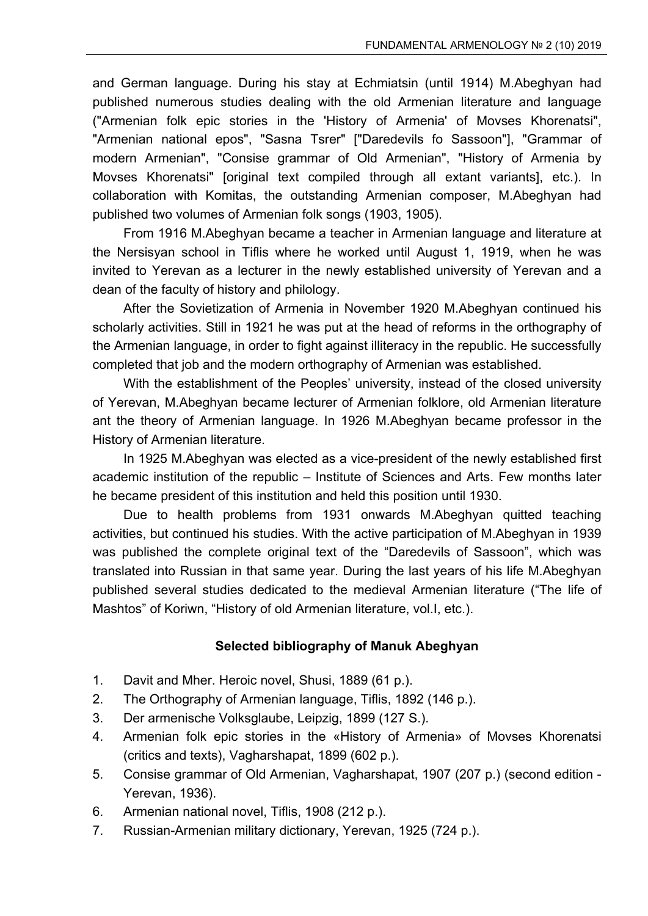and German language. During his stay at Echmiatsin (until 1914) M.Abeghyan had published numerous studies dealing with the old Armenian literature and language ("Armenian folk epic stories in the 'History of Armenia' of Movses Khorenatsi", "Armenian national epos", "Sasna Tsrer" ["Daredevils fo Sassoon"], "Grammar of modern Armenian", "Consise grammar of Old Armenian", "History of Armenia by Movses Khorenatsi" [original text compiled through all extant variants], etc.). In collaboration with Komitas, the outstanding Armenian composer, M.Abeghyan had published two volumes of Armenian folk songs (1903, 1905).

From 1916 M.Abeghyan became a teacher in Armenian language and literature at the Nersisyan school in Tiflis where he worked until August 1, 1919, when he was invited to Yerevan as a lecturer in the newly established university of Yerevan and a dean of the faculty of history and philology.

After the Sovietization of Armenia in November 1920 M.Abeghyan continued his scholarly activities. Still in 1921 he was put at the head of reforms in the orthography of the Armenian language, in order to fight against illiteracy in the republic. He successfully completed that job and the modern orthography of Armenian was established.

With the establishment of the Peoples' university, instead of the closed university of Yerevan, M.Abeghyan became lecturer of Armenian folklore, old Armenian literature ant the theory of Armenian language. In 1926 M.Abeghyan became professor in the History of Armenian literature.

In 1925 M.Abeghyan was elected as a vice-president of the newly established first academic institution of the republic – Institute of Sciences and Arts. Few months later he became president of this institution and held this position until 1930.

Due to health problems from 1931 onwards M.Abeghyan quitted teaching activities, but continued his studies. With the active participation of M.Abeghyan in 1939 was published the complete original text of the "Daredevils of Sassoon", which was translated into Russian in that same year. During the last years of his life M.Abeghyan published several studies dedicated to the medieval Armenian literature ("The life of Mashtos" of Koriwn, "History of old Armenian literature, vol.I, etc.).

## **Selected bibliography of Manuk Abeghyan**

- 1. Davit and Mher. Heroic novel, Shusi, 1889 (61 p.).
- 2. The Orthography of Armenian language, Tiflis, 1892 (146 p.).
- 3. Dеr armenische Volksglaube, Leipzig, 1899 (127 S.).
- 4. Armenian folk epic stories in the «History of Armenia» of Movses Khorenatsi (critics and texts), Vagharshapat, 1899 (602 p.).
- 5. Consise grammar of Old Armenian, Vagharshapat, 1907 (207 p.) (second edition Yerevan, 1936).
- 6. Armenian national novel, Tiflis, 1908 (212 p.).
- 7. Russian-Armenian military dictionary, Yerevan, 1925 (724 p.).